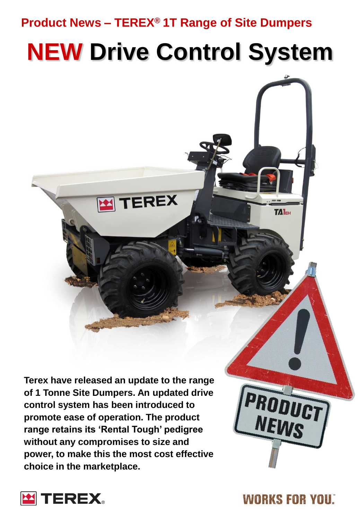### **Product News – TEREX® 1T Range of Site Dumpers**

**TEREX** 

# **NEW Drive Control System**

**Terex have released an update to the range of 1 Tonne Site Dumpers. An updated drive control system has been introduced to promote ease of operation. The product range retains its 'Rental Tough' pedigree without any compromises to size and power, to make this the most cost effective choice in the marketplace.**



**TALEH** 

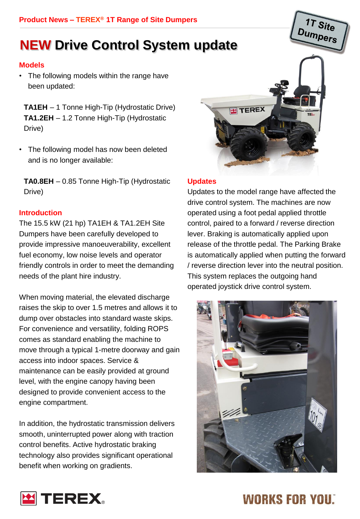### **NEW Drive Control System update**

### **Models**

The following models within the range have been updated:

**TA1EH** – 1 Tonne High-Tip (Hydrostatic Drive) **TA1.2EH** – 1.2 Tonne High-Tip (Hydrostatic Drive)

• The following model has now been deleted and is no longer available:

**TA0.8EH** – 0.85 Tonne High-Tip (Hydrostatic Drive)

### **Introduction**

The 15.5 kW (21 hp) TA1EH & TA1.2EH Site Dumpers have been carefully developed to provide impressive manoeuverability, excellent fuel economy, low noise levels and operator friendly controls in order to meet the demanding needs of the plant hire industry.

When moving material, the elevated discharge raises the skip to over 1.5 metres and allows it to dump over obstacles into standard waste skips. For convenience and versatility, folding ROPS comes as standard enabling the machine to move through a typical 1-metre doorway and gain access into indoor spaces. Service & maintenance can be easily provided at ground level, with the engine canopy having been designed to provide convenient access to the engine compartment.

In addition, the hydrostatic transmission delivers smooth, uninterrupted power along with traction control benefits. Active hydrostatic braking technology also provides significant operational benefit when working on gradients.



### **Updates**

Updates to the model range have affected the drive control system. The machines are now operated using a foot pedal applied throttle control, paired to a forward / reverse direction lever. Braking is automatically applied upon release of the throttle pedal. The Parking Brake is automatically applied when putting the forward / reverse direction lever into the neutral position. This system replaces the outgoing hand operated joystick drive control system.



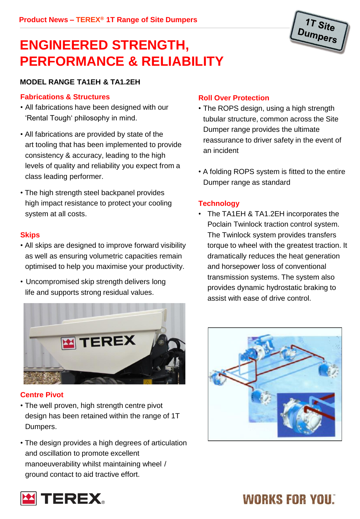

### **ENGINEERED STRENGTH, PERFORMANCE & RELIABILITY**

### **MODEL RANGE TA1EH & TA1.2EH**

#### **Fabrications & Structures**

- All fabrications have been designed with our 'Rental Tough' philosophy in mind.
- All fabrications are provided by state of the art tooling that has been implemented to provide consistency & accuracy, leading to the high levels of quality and reliability you expect from a class leading performer.
- The high strength steel backpanel provides high impact resistance to protect your cooling system at all costs.

#### **Skips**

- All skips are designed to improve forward visibility as well as ensuring volumetric capacities remain optimised to help you maximise your productivity.
- Uncompromised skip strength delivers long life and supports strong residual values.



### **Centre Pivot**

- The well proven, high strength centre pivot design has been retained within the range of 1T Dumpers.
- The design provides a high degrees of articulation and oscillation to promote excellent manoeuverability whilst maintaining wheel / ground contact to aid tractive effort.

### **Roll Over Protection**

- The ROPS design, using a high strength tubular structure, common across the Site Dumper range provides the ultimate reassurance to driver safety in the event of an incident
- A folding ROPS system is fitted to the entire Dumper range as standard

### **Technology**

• The TA1EH & TA1.2EH incorporates the Poclain Twinlock traction control system. The Twinlock system provides transfers torque to wheel with the greatest traction. It dramatically reduces the heat generation and horsepower loss of conventional transmission systems. The system also provides dynamic hydrostatic braking to assist with ease of drive control.



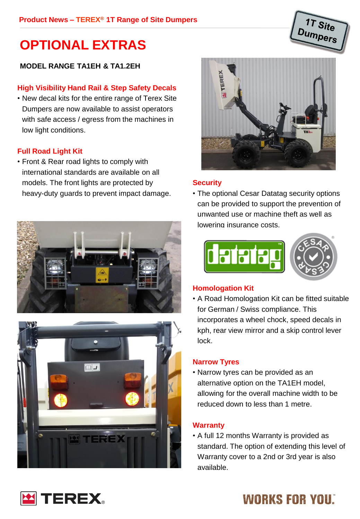### **OPTIONAL EXTRAS**

### **MODEL RANGE TA1EH & TA1.2EH**

### **High Visibility Hand Rail & Step Safety Decals**

• New decal kits for the entire range of Terex Site Dumpers are now available to assist operators with safe access / egress from the machines in low light conditions.

#### **Full Road Light Kit**

• Front & Rear road lights to comply with international standards are available on all models. The front lights are protected by heavy-duty guards to prevent impact damage.







1T Site umpers

#### **Security**

• The optional Cesar Datatag security options can be provided to support the prevention of unwanted use or machine theft as well as lowering insurance costs.



#### **Homologation Kit**

• A Road Homologation Kit can be fitted suitable for German / Swiss compliance. This incorporates a wheel chock, speed decals in kph, rear view mirror and a skip control lever lock.

#### **Narrow Tyres**

• Narrow tyres can be provided as an alternative option on the TA1EH model, allowing for the overall machine width to be reduced down to less than 1 metre.

### **Warranty**

• A full 12 months Warranty is provided as standard. The option of extending this level of Warranty cover to a 2nd or 3rd year is also available.

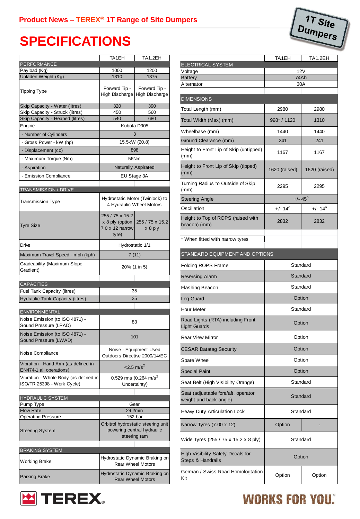### **SPECIFICATIONS**

|                                                                                 | TA1EH                                                                 | <b>TA1.2EH</b>                                                                   |
|---------------------------------------------------------------------------------|-----------------------------------------------------------------------|----------------------------------------------------------------------------------|
| <b>PERFORMANCE</b>                                                              |                                                                       |                                                                                  |
| Payload (Kg)<br>Unladen Weight (Kg)                                             | 1000<br>1310                                                          | 1200<br>1375                                                                     |
| <b>Tipping Type</b>                                                             | Forward Tip -<br>High Discharge                                       | Forward Tip -<br>High Discharge                                                  |
| Skip Capacity - Water (litres)                                                  | 320                                                                   | 390                                                                              |
| Skip Capacity - Struck (litres)                                                 | 450                                                                   | 560                                                                              |
| Skip Capacity - Heaped (litres)                                                 | 540                                                                   | 680                                                                              |
| Engine                                                                          | Kubota D905                                                           |                                                                                  |
| - Number of Cylinders                                                           | 3                                                                     |                                                                                  |
| - Gross Power - kW (hp)                                                         | 15.5kW (20.8)                                                         |                                                                                  |
| - Displacement (cc)                                                             | 898                                                                   |                                                                                  |
| - Maximum Torque (Nm)                                                           | 56Nm                                                                  |                                                                                  |
| - Aspiration                                                                    | <b>Naturally Aspirated</b>                                            |                                                                                  |
| - Emission Compliance                                                           | EU Stage 3A                                                           |                                                                                  |
| <b>TRANSMISSION / DRIVE</b>                                                     |                                                                       |                                                                                  |
| Transmission Type                                                               | Hydrostatic Motor (Twinlock) to<br>4 Hydraulic Wheel Motors           |                                                                                  |
| <b>Tyre Size</b>                                                                | 255 / 75 x 15.2<br>x 8 ply (option<br>$7.0 \times 12$ narrow<br>tyre) | 255 / 75 x 15.2<br>$x 8$ ply                                                     |
| Drive                                                                           | Hydrostatic 1/1                                                       |                                                                                  |
| Maximum Travel Speed - mph (kph)                                                | 7(11)                                                                 |                                                                                  |
| Gradeability (Maximum Slope<br>Gradient)                                        | 20% (1 in 5)                                                          |                                                                                  |
|                                                                                 |                                                                       |                                                                                  |
| <b>CAPACITIES</b><br>Fuel Tank Capacity (litres)                                | 35                                                                    |                                                                                  |
| Hydraulic Tank Capacity (litres)                                                | 25                                                                    |                                                                                  |
|                                                                                 |                                                                       |                                                                                  |
| <b>ENVIRONMENTAL</b><br>Noise Emission (to ISO 4871) -<br>Sound Pressure (LPAD) | 83                                                                    |                                                                                  |
| Noise Emission (to ISO 4871) -<br>Sound Pressure (LWAD)                         | 101                                                                   |                                                                                  |
| Noise Compliance                                                                | Noise - Equipment Used<br>Outdoors Directive 2000/14/EC               |                                                                                  |
| Vibration - Hand Arm (as defined in<br>EN474-1 all operations)                  | $<$ 2.5 m/s <sup>2</sup>                                              |                                                                                  |
| Vibration - Whole Body (as defined in<br>ISO/TR 25398 - Work Cycle)             |                                                                       | 0.529 rms (0.264 m/s <sup>2</sup> )<br>Uncertainty)                              |
| <b>HYDRAULIC SYSTEM</b>                                                         |                                                                       |                                                                                  |
| Pump Type                                                                       | <b>29 I/min</b>                                                       | Gear                                                                             |
| <b>Flow Rate</b><br>Operating Pressure                                          |                                                                       | 152 bar                                                                          |
| <b>Steering System</b>                                                          |                                                                       | Orbitrol hydrostatic steering unit<br>powering central hydraulic<br>steering ram |
| <b>BRAKING SYSTEM</b>                                                           |                                                                       |                                                                                  |
| Working Brake                                                                   | Hydrostatic Dynamic Braking on<br><b>Rear Wheel Motors</b>            |                                                                                  |
| Parking Brake                                                                   | Hydrostatic Dynamic Braking on<br><b>Rear Wheel Motors</b>            |                                                                                  |

**EX TEREX** 

| 1T Site<br>Dumpers<br>າpers                                   |                  |                  |
|---------------------------------------------------------------|------------------|------------------|
|                                                               |                  |                  |
| <b>ELECTRICAL SYSTEM</b>                                      | TA1EH            | TA1.2EH          |
| Voltage                                                       | 12V              |                  |
| <b>Battery</b><br>Alternator                                  | 74Ah<br>30A      |                  |
| <b>DIMENSIONS</b>                                             |                  |                  |
| Total Length (mm)                                             | 2980             | 2980             |
| Total Width (Max) (mm)                                        | 998* / 1120      | 1310             |
| Wheelbase (mm)                                                | 1440             | 1440             |
| Ground Clearance (mm)                                         | 241              | 241              |
| Height to Front Lip of Skip (untipped)<br>(mm)                | 1167             | 1167             |
| Height to Front Lip of Skip (tipped)<br>(mm)                  | 1620 (raised)    | 1620 (raised)    |
| Turning Radius to Outside of Skip<br>(mm)                     | 2295             | 2295             |
| <b>Steering Angle</b>                                         | $+/- 45^{\circ}$ |                  |
| Oscillation                                                   | $+/- 14^{\circ}$ | $+/- 14^{\circ}$ |
| Height to Top of ROPS (raised with<br>beacon) (mm)            | 2832             | 2832             |
| * When fitted with narrow tyres                               |                  |                  |
| STANDARD EQUIPMENT AND OPTIONS                                |                  |                  |
| <b>Folding ROPS Frame</b>                                     | Standard         |                  |
| <b>Reversing Alarm</b>                                        | Standard         |                  |
| Flashing Beacon                                               | Standard         |                  |
| Leg Guard                                                     | Option           |                  |
| Hour Meter                                                    | Standard         |                  |
| Road Lights (RTA) including Front<br><b>Light Guards</b>      | Option           |                  |
| <b>Rear View Mirror</b>                                       | Option           |                  |
| <b>CESAR Datatag Security</b>                                 | Option           |                  |
| Spare Wheel                                                   | Option           |                  |
| <b>Special Paint</b>                                          | Option           |                  |
| Seat Belt (High Visibility Orange)                            | Standard         |                  |
| Seat (adjustable fore/aft, operator<br>weight and back angle) | Standard         |                  |
| Heavy Duty Articulation Lock                                  | Standard         |                  |
| Narrow Tyres (7.00 x 12)                                      | Option           |                  |
| Wide Tyres (255 / 75 x 15.2 x 8 ply)                          | Standard         |                  |
| High Visibility Safety Decals for<br>Steps & Handrails        | Option           |                  |
| German / Swiss Road Homologtation<br>Kit                      | Option           | Option           |